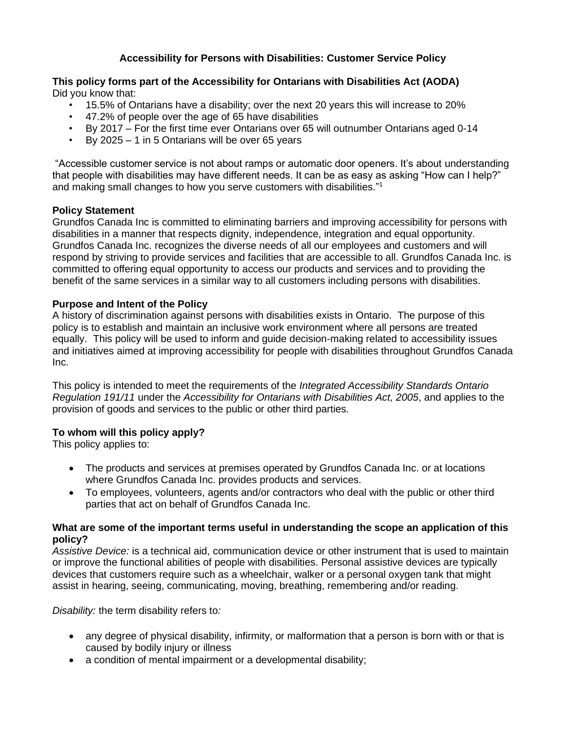# **Accessibility for Persons with Disabilities: Customer Service Policy**

### **This policy forms part of the Accessibility for Ontarians with Disabilities Act (AODA)** Did you know that:

- 15.5% of Ontarians have a disability; over the next 20 years this will increase to 20%
- 47.2% of people over the age of 65 have disabilities
- By 2017 For the first time ever Ontarians over 65 will outnumber Ontarians aged 0-14
- By  $2025 1$  in 5 Ontarians will be over 65 years

"Accessible customer service is not about ramps or automatic door openers. It's about understanding that people with disabilities may have different needs. It can be as easy as asking "How can I help?" and making small changes to how you serve customers with disabilities." 1

### **Policy Statement**

Grundfos Canada Inc is committed to eliminating barriers and improving accessibility for persons with disabilities in a manner that respects dignity, independence, integration and equal opportunity. Grundfos Canada Inc. recognizes the diverse needs of all our employees and customers and will respond by striving to provide services and facilities that are accessible to all. Grundfos Canada Inc. is committed to offering equal opportunity to access our products and services and to providing the benefit of the same services in a similar way to all customers including persons with disabilities.

### **Purpose and Intent of the Policy**

A history of discrimination against persons with disabilities exists in Ontario. The purpose of this policy is to establish and maintain an inclusive work environment where all persons are treated equally. This policy will be used to inform and guide decision-making related to accessibility issues and initiatives aimed at improving accessibility for people with disabilities throughout Grundfos Canada Inc.

This policy is intended to meet the requirements of the *Integrated Accessibility Standards Ontario Regulation 191/11* under the *Accessibility for Ontarians with Disabilities Act, 2005*, and applies to the provision of goods and services to the public or other third parties.

## **To whom will this policy apply?**

This policy applies to:

- The products and services at premises operated by Grundfos Canada Inc. or at locations where Grundfos Canada Inc. provides products and services.
- To employees, volunteers, agents and/or contractors who deal with the public or other third parties that act on behalf of Grundfos Canada Inc.

#### **What are some of the important terms useful in understanding the scope an application of this policy?**

*Assistive Device:* is a technical aid, communication device or other instrument that is used to maintain or improve the functional abilities of people with disabilities. Personal assistive devices are typically devices that customers require such as a wheelchair, walker or a personal oxygen tank that might assist in hearing, seeing, communicating, moving, breathing, remembering and/or reading.

*Disability:* the term disability refers to*:*

- any degree of physical disability, infirmity, or malformation that a person is born with or that is caused by bodily injury or illness
- a condition of mental impairment or a developmental disability;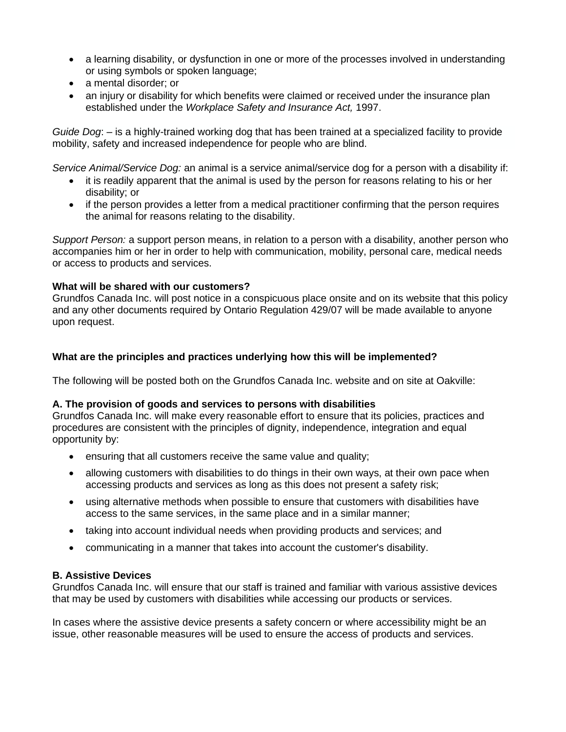- a learning disability, or dysfunction in one or more of the processes involved in understanding or using symbols or spoken language;
- a mental disorder; or
- an injury or disability for which benefits were claimed or received under the insurance plan established under the *Workplace Safety and Insurance Act,* 1997.

*Guide Dog*: – is a highly-trained working dog that has been trained at a specialized facility to provide mobility, safety and increased independence for people who are blind.

*Service Animal/Service Dog:* an animal is a service animal/service dog for a person with a disability if:

- it is readily apparent that the animal is used by the person for reasons relating to his or her disability; or
- if the person provides a letter from a medical practitioner confirming that the person requires the animal for reasons relating to the disability.

*Support Person:* a support person means, in relation to a person with a disability, another person who accompanies him or her in order to help with communication, mobility, personal care, medical needs or access to products and services.

## **What will be shared with our customers?**

Grundfos Canada Inc. will post notice in a conspicuous place onsite and on its website that this policy and any other documents required by Ontario Regulation 429/07 will be made available to anyone upon request.

# **What are the principles and practices underlying how this will be implemented?**

The following will be posted both on the Grundfos Canada Inc. website and on site at Oakville:

## **A. The provision of goods and services to persons with disabilities**

Grundfos Canada Inc. will make every reasonable effort to ensure that its policies, practices and procedures are consistent with the principles of dignity, independence, integration and equal opportunity by:

- ensuring that all customers receive the same value and quality;
- allowing customers with disabilities to do things in their own ways, at their own pace when accessing products and services as long as this does not present a safety risk;
- using alternative methods when possible to ensure that customers with disabilities have access to the same services, in the same place and in a similar manner;
- taking into account individual needs when providing products and services; and
- communicating in a manner that takes into account the customer's disability.

## **B. Assistive Devices**

Grundfos Canada Inc. will ensure that our staff is trained and familiar with various assistive devices that may be used by customers with disabilities while accessing our products or services.

In cases where the assistive device presents a safety concern or where accessibility might be an issue, other reasonable measures will be used to ensure the access of products and services.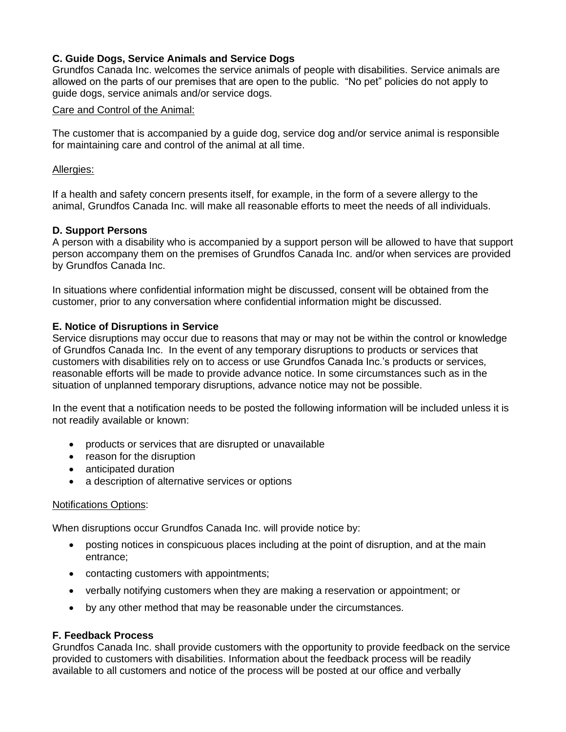# **C. Guide Dogs, Service Animals and Service Dogs**

Grundfos Canada Inc. welcomes the service animals of people with disabilities. Service animals are allowed on the parts of our premises that are open to the public. "No pet" policies do not apply to guide dogs, service animals and/or service dogs.

### Care and Control of the Animal:

The customer that is accompanied by a guide dog, service dog and/or service animal is responsible for maintaining care and control of the animal at all time.

### Allergies:

If a health and safety concern presents itself, for example, in the form of a severe allergy to the animal, Grundfos Canada Inc. will make all reasonable efforts to meet the needs of all individuals.

### **D. Support Persons**

A person with a disability who is accompanied by a support person will be allowed to have that support person accompany them on the premises of Grundfos Canada Inc. and/or when services are provided by Grundfos Canada Inc.

In situations where confidential information might be discussed, consent will be obtained from the customer, prior to any conversation where confidential information might be discussed.

### **E. Notice of Disruptions in Service**

Service disruptions may occur due to reasons that may or may not be within the control or knowledge of Grundfos Canada Inc. In the event of any temporary disruptions to products or services that customers with disabilities rely on to access or use Grundfos Canada Inc.'s products or services, reasonable efforts will be made to provide advance notice. In some circumstances such as in the situation of unplanned temporary disruptions, advance notice may not be possible.

In the event that a notification needs to be posted the following information will be included unless it is not readily available or known:

- products or services that are disrupted or unavailable
- reason for the disruption
- anticipated duration
- a description of alternative services or options

#### Notifications Options:

When disruptions occur Grundfos Canada Inc. will provide notice by:

- posting notices in conspicuous places including at the point of disruption, and at the main entrance;
- contacting customers with appointments;
- verbally notifying customers when they are making a reservation or appointment; or
- by any other method that may be reasonable under the circumstances.

## **F. Feedback Process**

Grundfos Canada Inc. shall provide customers with the opportunity to provide feedback on the service provided to customers with disabilities. Information about the feedback process will be readily available to all customers and notice of the process will be posted at our office and verbally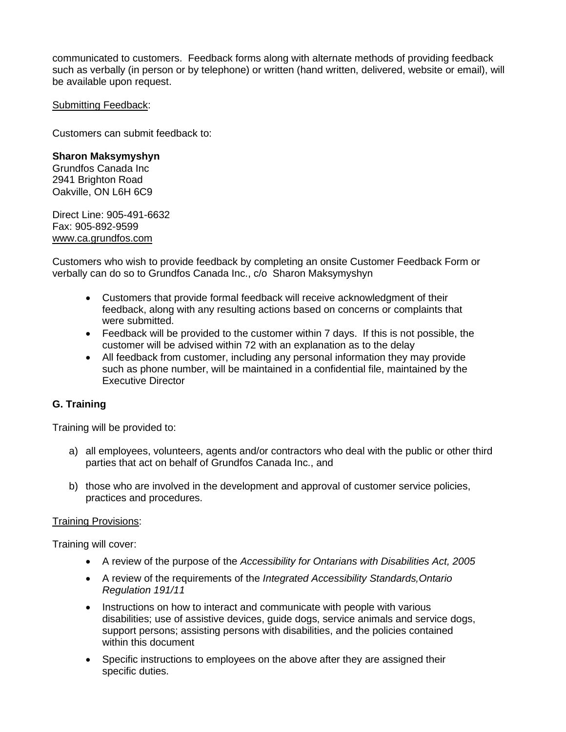communicated to customers. Feedback forms along with alternate methods of providing feedback such as verbally (in person or by telephone) or written (hand written, delivered, website or email), will be available upon request.

### Submitting Feedback:

Customers can submit feedback to:

### **Sharon Maksymyshyn**

Grundfos Canada Inc 2941 Brighton Road Oakville, ON L6H 6C9

Direct Line: 905-491-6632 Fax: 905-892-9599 www.ca.grundfos.com

Customers who wish to provide feedback by completing an onsite Customer Feedback Form or verbally can do so to Grundfos Canada Inc., c/o Sharon Maksymyshyn

- Customers that provide formal feedback will receive acknowledgment of their feedback, along with any resulting actions based on concerns or complaints that were submitted.
- Feedback will be provided to the customer within 7 days. If this is not possible, the customer will be advised within 72 with an explanation as to the delay
- All feedback from customer, including any personal information they may provide such as phone number, will be maintained in a confidential file, maintained by the Executive Director

## **G. Training**

Training will be provided to:

- a) all employees, volunteers, agents and/or contractors who deal with the public or other third parties that act on behalf of Grundfos Canada Inc., and
- b) those who are involved in the development and approval of customer service policies, practices and procedures.

#### Training Provisions:

Training will cover:

- A review of the purpose of the *Accessibility for Ontarians with Disabilities Act, 2005*
- A review of the requirements of the *Integrated Accessibility Standards,Ontario Regulation 191/11*
- Instructions on how to interact and communicate with people with various disabilities; use of assistive devices, guide dogs, service animals and service dogs, support persons; assisting persons with disabilities, and the policies contained within this document
- Specific instructions to employees on the above after they are assigned their specific duties.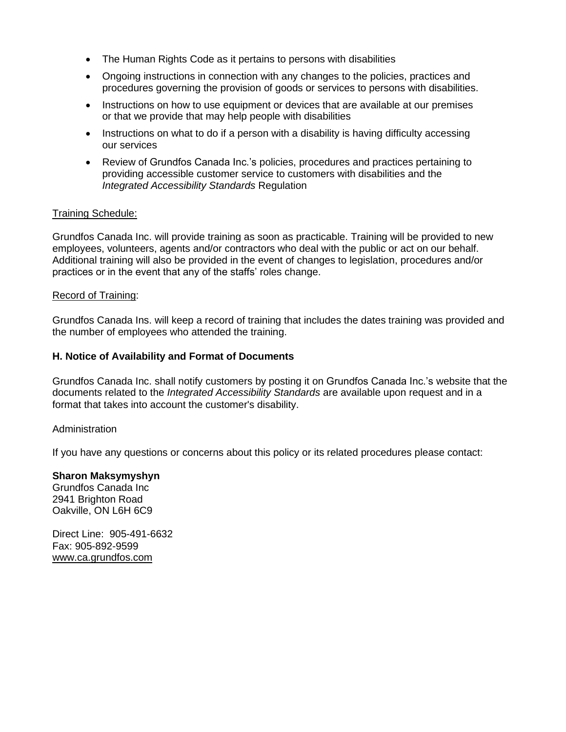- The Human Rights Code as it pertains to persons with disabilities
- Ongoing instructions in connection with any changes to the policies, practices and procedures governing the provision of goods or services to persons with disabilities.
- Instructions on how to use equipment or devices that are available at our premises or that we provide that may help people with disabilities
- Instructions on what to do if a person with a disability is having difficulty accessing our services
- Review of Grundfos Canada Inc.'s policies, procedures and practices pertaining to providing accessible customer service to customers with disabilities and the *Integrated Accessibility Standards* Regulation

#### Training Schedule:

Grundfos Canada Inc. will provide training as soon as practicable. Training will be provided to new employees, volunteers, agents and/or contractors who deal with the public or act on our behalf. Additional training will also be provided in the event of changes to legislation, procedures and/or practices or in the event that any of the staffs' roles change.

#### Record of Training:

Grundfos Canada Ins. will keep a record of training that includes the dates training was provided and the number of employees who attended the training.

#### **H. Notice of Availability and Format of Documents**

Grundfos Canada Inc. shall notify customers by posting it on Grundfos Canada Inc.'s website that the documents related to the *Integrated Accessibility Standards* are available upon request and in a format that takes into account the customer's disability.

#### Administration

If you have any questions or concerns about this policy or its related procedures please contact:

#### **Sharon Maksymyshyn**

Grundfos Canada Inc 2941 Brighton Road Oakville, ON L6H 6C9

Direct Line: 905-491-6632 Fax: 905-892-9599 www.ca.grundfos.com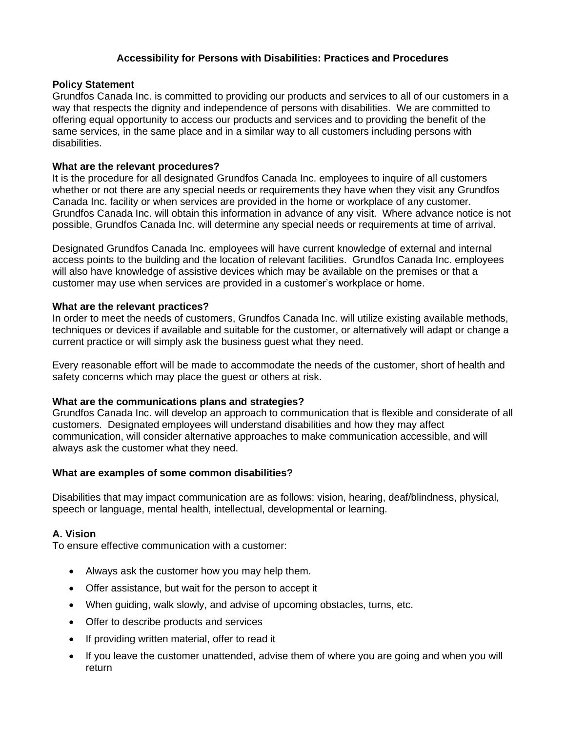## **Accessibility for Persons with Disabilities: Practices and Procedures**

#### **Policy Statement**

Grundfos Canada Inc. is committed to providing our products and services to all of our customers in a way that respects the dignity and independence of persons with disabilities. We are committed to offering equal opportunity to access our products and services and to providing the benefit of the same services, in the same place and in a similar way to all customers including persons with disabilities.

### **What are the relevant procedures?**

It is the procedure for all designated Grundfos Canada Inc. employees to inquire of all customers whether or not there are any special needs or requirements they have when they visit any Grundfos Canada Inc. facility or when services are provided in the home or workplace of any customer. Grundfos Canada Inc. will obtain this information in advance of any visit. Where advance notice is not possible, Grundfos Canada Inc. will determine any special needs or requirements at time of arrival.

Designated Grundfos Canada Inc. employees will have current knowledge of external and internal access points to the building and the location of relevant facilities. Grundfos Canada Inc. employees will also have knowledge of assistive devices which may be available on the premises or that a customer may use when services are provided in a customer's workplace or home.

### **What are the relevant practices?**

In order to meet the needs of customers, Grundfos Canada Inc. will utilize existing available methods, techniques or devices if available and suitable for the customer, or alternatively will adapt or change a current practice or will simply ask the business guest what they need.

Every reasonable effort will be made to accommodate the needs of the customer, short of health and safety concerns which may place the guest or others at risk.

## **What are the communications plans and strategies?**

Grundfos Canada Inc. will develop an approach to communication that is flexible and considerate of all customers. Designated employees will understand disabilities and how they may affect communication, will consider alternative approaches to make communication accessible, and will always ask the customer what they need.

## **What are examples of some common disabilities?**

Disabilities that may impact communication are as follows: vision, hearing, deaf/blindness, physical, speech or language, mental health, intellectual, developmental or learning.

## **A. Vision**

To ensure effective communication with a customer:

- Always ask the customer how you may help them.
- Offer assistance, but wait for the person to accept it
- When guiding, walk slowly, and advise of upcoming obstacles, turns, etc.
- Offer to describe products and services
- If providing written material, offer to read it
- If you leave the customer unattended, advise them of where you are going and when you will return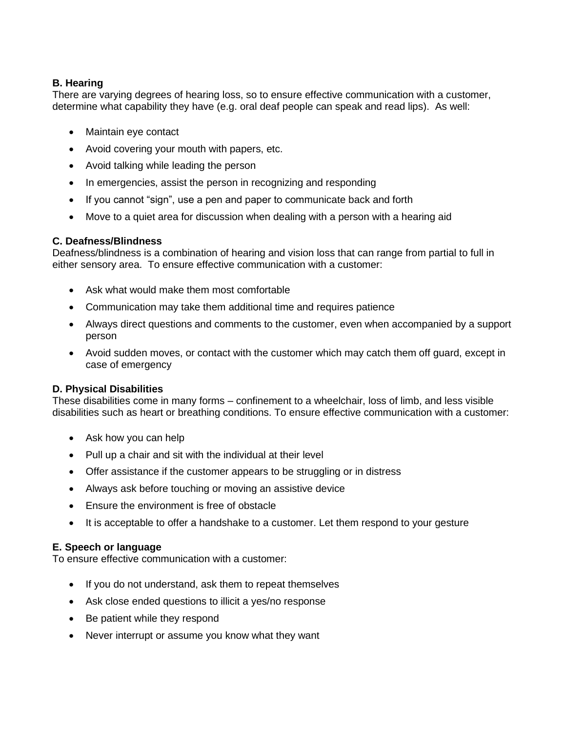# **B. Hearing**

There are varying degrees of hearing loss, so to ensure effective communication with a customer, determine what capability they have (e.g. oral deaf people can speak and read lips). As well:

- Maintain eye contact
- Avoid covering your mouth with papers, etc.
- Avoid talking while leading the person
- In emergencies, assist the person in recognizing and responding
- If you cannot "sign", use a pen and paper to communicate back and forth
- Move to a quiet area for discussion when dealing with a person with a hearing aid

## **C. Deafness/Blindness**

Deafness/blindness is a combination of hearing and vision loss that can range from partial to full in either sensory area. To ensure effective communication with a customer:

- Ask what would make them most comfortable
- Communication may take them additional time and requires patience
- Always direct questions and comments to the customer, even when accompanied by a support person
- Avoid sudden moves, or contact with the customer which may catch them off guard, except in case of emergency

## **D. Physical Disabilities**

These disabilities come in many forms – confinement to a wheelchair, loss of limb, and less visible disabilities such as heart or breathing conditions. To ensure effective communication with a customer:

- Ask how you can help
- Pull up a chair and sit with the individual at their level
- Offer assistance if the customer appears to be struggling or in distress
- Always ask before touching or moving an assistive device
- Ensure the environment is free of obstacle
- It is acceptable to offer a handshake to a customer. Let them respond to your gesture

## **E. Speech or language**

To ensure effective communication with a customer:

- If you do not understand, ask them to repeat themselves
- Ask close ended questions to illicit a yes/no response
- Be patient while they respond
- Never interrupt or assume you know what they want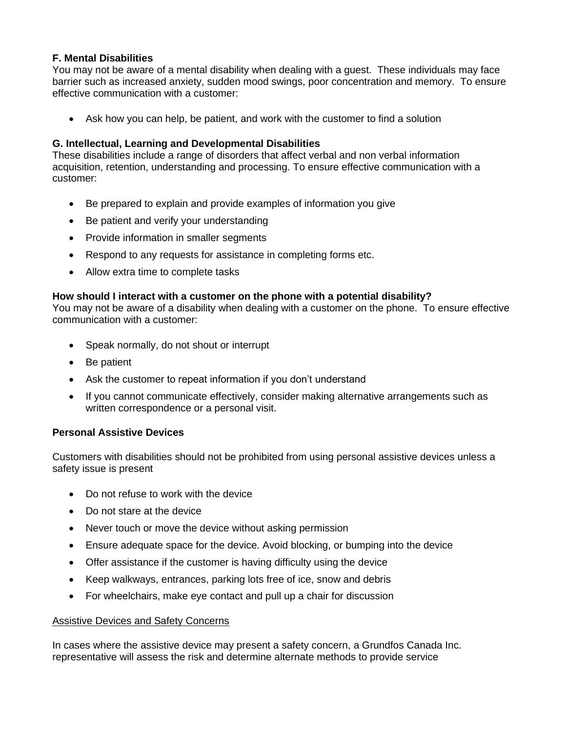# **F. Mental Disabilities**

You may not be aware of a mental disability when dealing with a guest. These individuals may face barrier such as increased anxiety, sudden mood swings, poor concentration and memory. To ensure effective communication with a customer:

• Ask how you can help, be patient, and work with the customer to find a solution

# **G. Intellectual, Learning and Developmental Disabilities**

These disabilities include a range of disorders that affect verbal and non verbal information acquisition, retention, understanding and processing. To ensure effective communication with a customer:

- Be prepared to explain and provide examples of information you give
- Be patient and verify your understanding
- Provide information in smaller segments
- Respond to any requests for assistance in completing forms etc.
- Allow extra time to complete tasks

## **How should I interact with a customer on the phone with a potential disability?**

You may not be aware of a disability when dealing with a customer on the phone. To ensure effective communication with a customer:

- Speak normally, do not shout or interrupt
- Be patient
- Ask the customer to repeat information if you don't understand
- If you cannot communicate effectively, consider making alternative arrangements such as written correspondence or a personal visit.

## **Personal Assistive Devices**

Customers with disabilities should not be prohibited from using personal assistive devices unless a safety issue is present

- Do not refuse to work with the device
- Do not stare at the device
- Never touch or move the device without asking permission
- Ensure adequate space for the device. Avoid blocking, or bumping into the device
- Offer assistance if the customer is having difficulty using the device
- Keep walkways, entrances, parking lots free of ice, snow and debris
- For wheelchairs, make eye contact and pull up a chair for discussion

## Assistive Devices and Safety Concerns

In cases where the assistive device may present a safety concern, a Grundfos Canada Inc. representative will assess the risk and determine alternate methods to provide service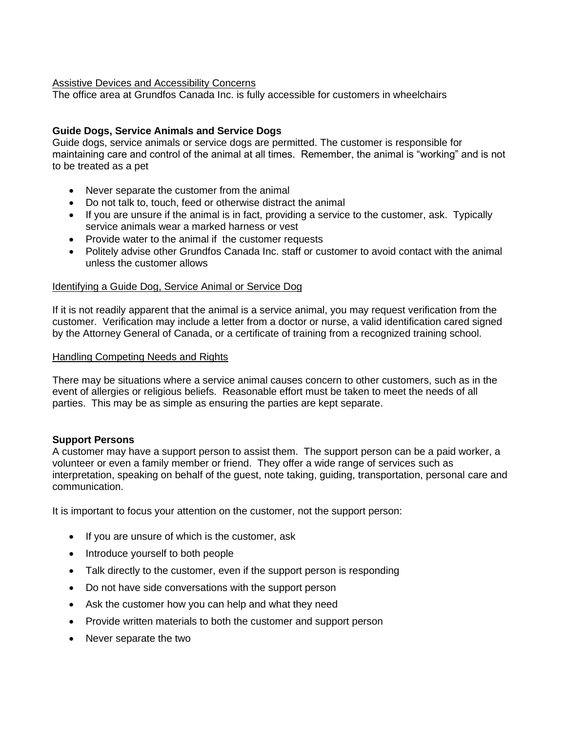## Assistive Devices and Accessibility Concerns

The office area at Grundfos Canada Inc. is fully accessible for customers in wheelchairs

## **Guide Dogs, Service Animals and Service Dogs**

Guide dogs, service animals or service dogs are permitted. The customer is responsible for maintaining care and control of the animal at all times. Remember, the animal is "working" and is not to be treated as a pet

- Never separate the customer from the animal
- Do not talk to, touch, feed or otherwise distract the animal
- If you are unsure if the animal is in fact, providing a service to the customer, ask. Typically service animals wear a marked harness or vest
- Provide water to the animal if the customer requests
- Politely advise other Grundfos Canada Inc. staff or customer to avoid contact with the animal unless the customer allows

## Identifying a Guide Dog, Service Animal or Service Dog

If it is not readily apparent that the animal is a service animal, you may request verification from the customer. Verification may include a letter from a doctor or nurse, a valid identification cared signed by the Attorney General of Canada, or a certificate of training from a recognized training school.

#### Handling Competing Needs and Rights

There may be situations where a service animal causes concern to other customers, such as in the event of allergies or religious beliefs. Reasonable effort must be taken to meet the needs of all parties. This may be as simple as ensuring the parties are kept separate.

## **Support Persons**

A customer may have a support person to assist them. The support person can be a paid worker, a volunteer or even a family member or friend. They offer a wide range of services such as interpretation, speaking on behalf of the guest, note taking, guiding, transportation, personal care and communication.

It is important to focus your attention on the customer, not the support person:

- If you are unsure of which is the customer, ask
- Introduce yourself to both people
- Talk directly to the customer, even if the support person is responding
- Do not have side conversations with the support person
- Ask the customer how you can help and what they need
- Provide written materials to both the customer and support person
- Never separate the two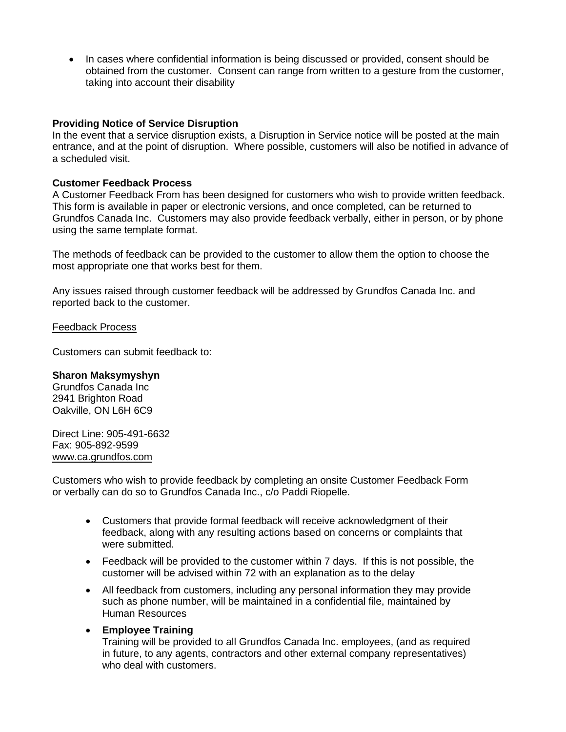• In cases where confidential information is being discussed or provided, consent should be obtained from the customer. Consent can range from written to a gesture from the customer, taking into account their disability

#### **Providing Notice of Service Disruption**

In the event that a service disruption exists, a Disruption in Service notice will be posted at the main entrance, and at the point of disruption. Where possible, customers will also be notified in advance of a scheduled visit.

### **Customer Feedback Process**

A Customer Feedback From has been designed for customers who wish to provide written feedback. This form is available in paper or electronic versions, and once completed, can be returned to Grundfos Canada Inc. Customers may also provide feedback verbally, either in person, or by phone using the same template format.

The methods of feedback can be provided to the customer to allow them the option to choose the most appropriate one that works best for them.

Any issues raised through customer feedback will be addressed by Grundfos Canada Inc. and reported back to the customer.

### Feedback Process

Customers can submit feedback to:

#### **Sharon Maksymyshyn**

Grundfos Canada Inc 2941 Brighton Road Oakville, ON L6H 6C9

Direct Line: 905-491-6632 Fax: 905-892-9599 www.ca.grundfos.com

Customers who wish to provide feedback by completing an onsite Customer Feedback Form or verbally can do so to Grundfos Canada Inc., c/o Paddi Riopelle.

- Customers that provide formal feedback will receive acknowledgment of their feedback, along with any resulting actions based on concerns or complaints that were submitted.
- Feedback will be provided to the customer within 7 days. If this is not possible, the customer will be advised within 72 with an explanation as to the delay
- All feedback from customers, including any personal information they may provide such as phone number, will be maintained in a confidential file, maintained by Human Resources
- **Employee Training**

Training will be provided to all Grundfos Canada Inc. employees, (and as required in future, to any agents, contractors and other external company representatives) who deal with customers.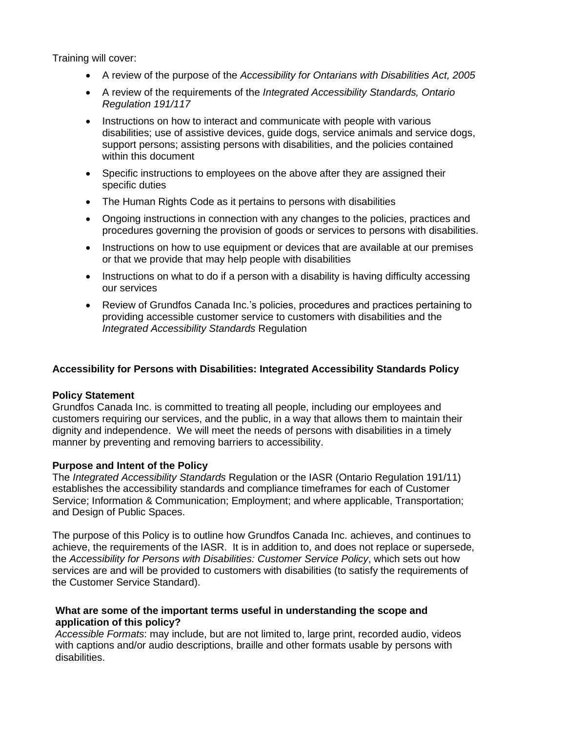Training will cover:

- A review of the purpose of the *Accessibility for Ontarians with Disabilities Act, 2005*
- A review of the requirements of the *Integrated Accessibility Standards, Ontario Regulation 191/117*
- Instructions on how to interact and communicate with people with various disabilities; use of assistive devices, guide dogs, service animals and service dogs, support persons; assisting persons with disabilities, and the policies contained within this document
- Specific instructions to employees on the above after they are assigned their specific duties
- The Human Rights Code as it pertains to persons with disabilities
- Ongoing instructions in connection with any changes to the policies, practices and procedures governing the provision of goods or services to persons with disabilities.
- Instructions on how to use equipment or devices that are available at our premises or that we provide that may help people with disabilities
- Instructions on what to do if a person with a disability is having difficulty accessing our services
- Review of Grundfos Canada Inc.'s policies, procedures and practices pertaining to providing accessible customer service to customers with disabilities and the *Integrated Accessibility Standards* Regulation

## **Accessibility for Persons with Disabilities: Integrated Accessibility Standards Policy**

#### **Policy Statement**

Grundfos Canada Inc. is committed to treating all people, including our employees and customers requiring our services, and the public, in a way that allows them to maintain their dignity and independence. We will meet the needs of persons with disabilities in a timely manner by preventing and removing barriers to accessibility.

#### **Purpose and Intent of the Policy**

The *Integrated Accessibility Standards* Regulation or the IASR (Ontario Regulation 191/11) establishes the accessibility standards and compliance timeframes for each of Customer Service; Information & Communication; Employment; and where applicable, Transportation; and Design of Public Spaces.

The purpose of this Policy is to outline how Grundfos Canada Inc. achieves, and continues to achieve, the requirements of the IASR. It is in addition to, and does not replace or supersede, the *Accessibility for Persons with Disabilities: Customer Service Policy*, which sets out how services are and will be provided to customers with disabilities (to satisfy the requirements of the Customer Service Standard).

### **What are some of the important terms useful in understanding the scope and application of this policy?**

*Accessible Formats*: may include, but are not limited to, large print, recorded audio, videos with captions and/or audio descriptions, braille and other formats usable by persons with disabilities.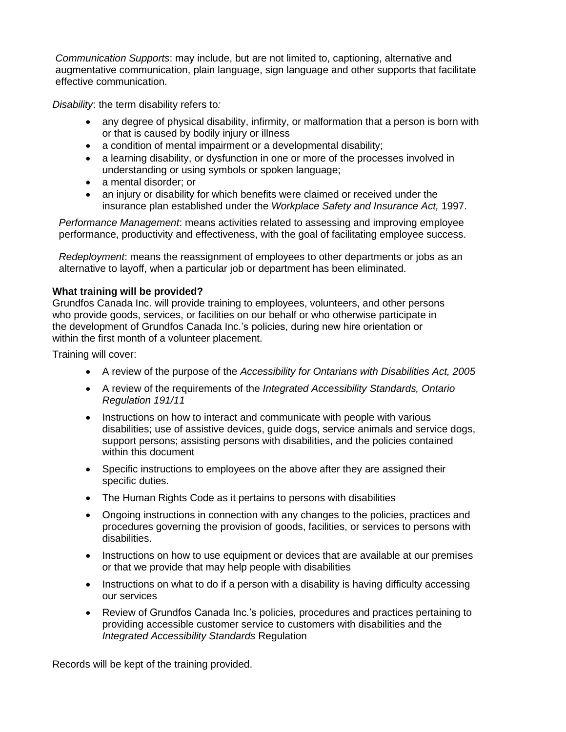*Communication Supports*: may include, but are not limited to, captioning, alternative and augmentative communication, plain language, sign language and other supports that facilitate effective communication.

*Disability*: the term disability refers to*:*

- any degree of physical disability, infirmity, or malformation that a person is born with or that is caused by bodily injury or illness
- a condition of mental impairment or a developmental disability;
- a learning disability, or dysfunction in one or more of the processes involved in understanding or using symbols or spoken language;
- a mental disorder; or
- an injury or disability for which benefits were claimed or received under the insurance plan established under the *Workplace Safety and Insurance Act,* 1997.

*Performance Management*: means activities related to assessing and improving employee performance, productivity and effectiveness, with the goal of facilitating employee success.

*Redeployment*: means the reassignment of employees to other departments or jobs as an alternative to layoff, when a particular job or department has been eliminated.

### **What training will be provided?**

Grundfos Canada Inc. will provide training to employees, volunteers, and other persons who provide goods, services, or facilities on our behalf or who otherwise participate in the development of Grundfos Canada Inc.'s policies, during new hire orientation or within the first month of a volunteer placement.

Training will cover:

- A review of the purpose of the *Accessibility for Ontarians with Disabilities Act, 2005*
- A review of the requirements of the *Integrated Accessibility Standards, Ontario Regulation 191/11*
- Instructions on how to interact and communicate with people with various disabilities; use of assistive devices, guide dogs, service animals and service dogs, support persons; assisting persons with disabilities, and the policies contained within this document
- Specific instructions to employees on the above after they are assigned their specific duties.
- The Human Rights Code as it pertains to persons with disabilities
- Ongoing instructions in connection with any changes to the policies, practices and procedures governing the provision of goods, facilities, or services to persons with disabilities.
- Instructions on how to use equipment or devices that are available at our premises or that we provide that may help people with disabilities
- Instructions on what to do if a person with a disability is having difficulty accessing our services
- Review of Grundfos Canada Inc.'s policies, procedures and practices pertaining to providing accessible customer service to customers with disabilities and the *Integrated Accessibility Standards* Regulation

Records will be kept of the training provided.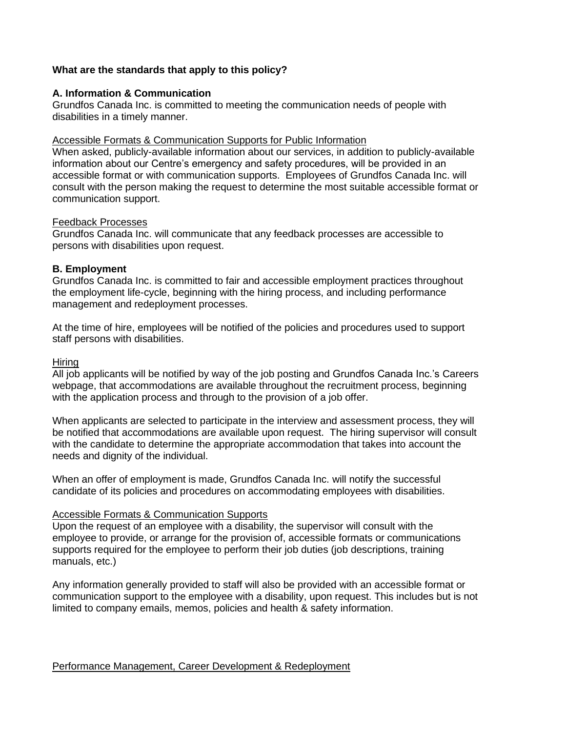## **What are the standards that apply to this policy?**

#### **A. Information & Communication**

Grundfos Canada Inc. is committed to meeting the communication needs of people with disabilities in a timely manner.

### Accessible Formats & Communication Supports for Public Information

When asked, publicly-available information about our services, in addition to publicly-available information about our Centre's emergency and safety procedures, will be provided in an accessible format or with communication supports. Employees of Grundfos Canada Inc. will consult with the person making the request to determine the most suitable accessible format or communication support.

#### Feedback Processes

Grundfos Canada Inc. will communicate that any feedback processes are accessible to persons with disabilities upon request.

## **B. Employment**

Grundfos Canada Inc. is committed to fair and accessible employment practices throughout the employment life-cycle, beginning with the hiring process, and including performance management and redeployment processes.

At the time of hire, employees will be notified of the policies and procedures used to support staff persons with disabilities.

#### **Hiring**

All job applicants will be notified by way of the job posting and Grundfos Canada Inc.'s Careers webpage, that accommodations are available throughout the recruitment process, beginning with the application process and through to the provision of a job offer.

When applicants are selected to participate in the interview and assessment process, they will be notified that accommodations are available upon request. The hiring supervisor will consult with the candidate to determine the appropriate accommodation that takes into account the needs and dignity of the individual.

When an offer of employment is made, Grundfos Canada Inc. will notify the successful candidate of its policies and procedures on accommodating employees with disabilities.

#### Accessible Formats & Communication Supports

Upon the request of an employee with a disability, the supervisor will consult with the employee to provide, or arrange for the provision of, accessible formats or communications supports required for the employee to perform their job duties (job descriptions, training manuals, etc.)

Any information generally provided to staff will also be provided with an accessible format or communication support to the employee with a disability, upon request. This includes but is not limited to company emails, memos, policies and health & safety information.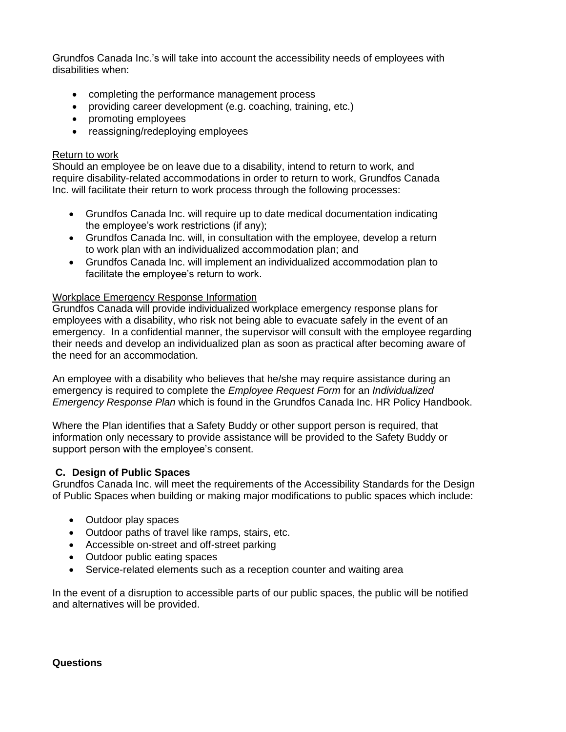Grundfos Canada Inc.'s will take into account the accessibility needs of employees with disabilities when:

- completing the performance management process
- providing career development (e.g. coaching, training, etc.)
- promoting employees
- reassigning/redeploying employees

### Return to work

Should an employee be on leave due to a disability, intend to return to work, and require disability-related accommodations in order to return to work, Grundfos Canada Inc. will facilitate their return to work process through the following processes:

- Grundfos Canada Inc. will require up to date medical documentation indicating the employee's work restrictions (if any);
- Grundfos Canada Inc. will, in consultation with the employee, develop a return to work plan with an individualized accommodation plan; and
- Grundfos Canada Inc. will implement an individualized accommodation plan to facilitate the employee's return to work.

### Workplace Emergency Response Information

Grundfos Canada will provide individualized workplace emergency response plans for employees with a disability, who risk not being able to evacuate safely in the event of an emergency. In a confidential manner, the supervisor will consult with the employee regarding their needs and develop an individualized plan as soon as practical after becoming aware of the need for an accommodation.

An employee with a disability who believes that he/she may require assistance during an emergency is required to complete the *Employee Request Form* for an *Individualized Emergency Response Plan* which is found in the Grundfos Canada Inc. HR Policy Handbook.

Where the Plan identifies that a Safety Buddy or other support person is required, that information only necessary to provide assistance will be provided to the Safety Buddy or support person with the employee's consent.

## **C. Design of Public Spaces**

Grundfos Canada Inc. will meet the requirements of the Accessibility Standards for the Design of Public Spaces when building or making major modifications to public spaces which include:

- Outdoor play spaces
- Outdoor paths of travel like ramps, stairs, etc.
- Accessible on-street and off-street parking
- Outdoor public eating spaces
- Service-related elements such as a reception counter and waiting area

In the event of a disruption to accessible parts of our public spaces, the public will be notified and alternatives will be provided.

#### **Questions**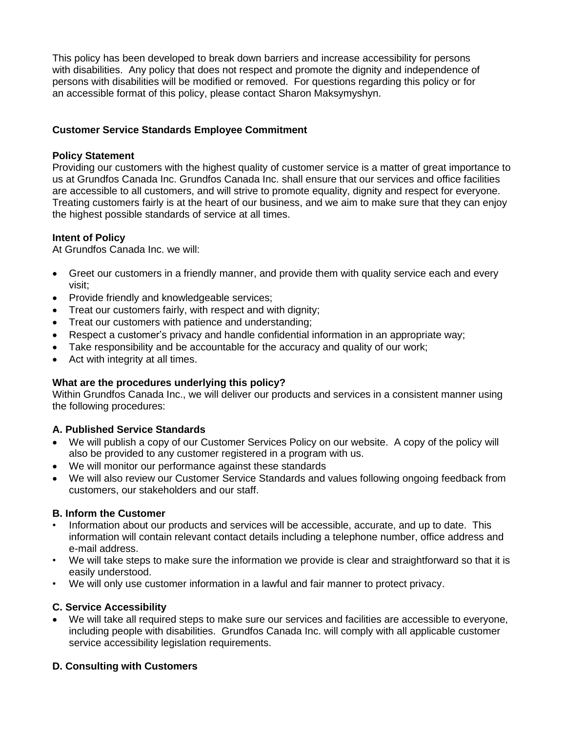This policy has been developed to break down barriers and increase accessibility for persons with disabilities. Any policy that does not respect and promote the dignity and independence of persons with disabilities will be modified or removed. For questions regarding this policy or for an accessible format of this policy, please contact Sharon Maksymyshyn.

# **Customer Service Standards Employee Commitment**

## **Policy Statement**

Providing our customers with the highest quality of customer service is a matter of great importance to us at Grundfos Canada Inc. Grundfos Canada Inc. shall ensure that our services and office facilities are accessible to all customers, and will strive to promote equality, dignity and respect for everyone. Treating customers fairly is at the heart of our business, and we aim to make sure that they can enjoy the highest possible standards of service at all times.

## **Intent of Policy**

At Grundfos Canada Inc. we will:

- Greet our customers in a friendly manner, and provide them with quality service each and every visit;
- Provide friendly and knowledgeable services;
- Treat our customers fairly, with respect and with dignity;
- Treat our customers with patience and understanding;
- Respect a customer's privacy and handle confidential information in an appropriate way;
- Take responsibility and be accountable for the accuracy and quality of our work;
- Act with integrity at all times.

#### **What are the procedures underlying this policy?**

Within Grundfos Canada Inc., we will deliver our products and services in a consistent manner using the following procedures:

## **A. Published Service Standards**

- We will publish a copy of our Customer Services Policy on our website. A copy of the policy will also be provided to any customer registered in a program with us.
- We will monitor our performance against these standards
- We will also review our Customer Service Standards and values following ongoing feedback from customers, our stakeholders and our staff.

## **B. Inform the Customer**

- Information about our products and services will be accessible, accurate, and up to date. This information will contain relevant contact details including a telephone number, office address and e-mail address.
- We will take steps to make sure the information we provide is clear and straightforward so that it is easily understood.
- We will only use customer information in a lawful and fair manner to protect privacy.

#### **C. Service Accessibility**

• We will take all required steps to make sure our services and facilities are accessible to everyone, including people with disabilities. Grundfos Canada Inc. will comply with all applicable customer service accessibility legislation requirements.

## **D. Consulting with Customers**